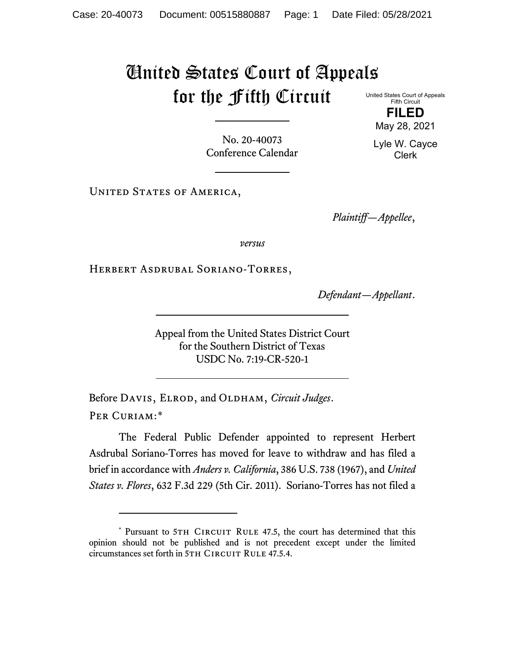## United States Court of Appeals for the Fifth Circuit

United States Court of Appeals Fifth Circuit **FILED**

No. 20-40073 Conference Calendar

UNITED STATES OF AMERICA,

*Plaintiff—Appellee*,

*versus*

Herbert Asdrubal Soriano-Torres,

*Defendant—Appellant*.

Appeal from the United States District Court for the Southern District of Texas USDC No. 7:19-CR-520-1

Before DAVIS, ELROD, and OLDHAM, *Circuit Judges*. Per Curiam:[\\*](#page-0-0)

The Federal Public Defender appointed to represent Herbert Asdrubal Soriano-Torres has moved for leave to withdraw and has filed a brief in accordance with *Anders v. California*, 386 U.S. 738 (1967), and *United States v. Flores*, 632 F.3d 229 (5th Cir. 2011). Soriano-Torres has not filed a

May 28, 2021 Lyle W. Cayce

Clerk

<span id="page-0-0"></span><sup>\*</sup> Pursuant to 5TH CIRCUIT RULE 47.5, the court has determined that this opinion should not be published and is not precedent except under the limited circumstances set forth in 5TH CIRCUIT RULE 47.5.4.